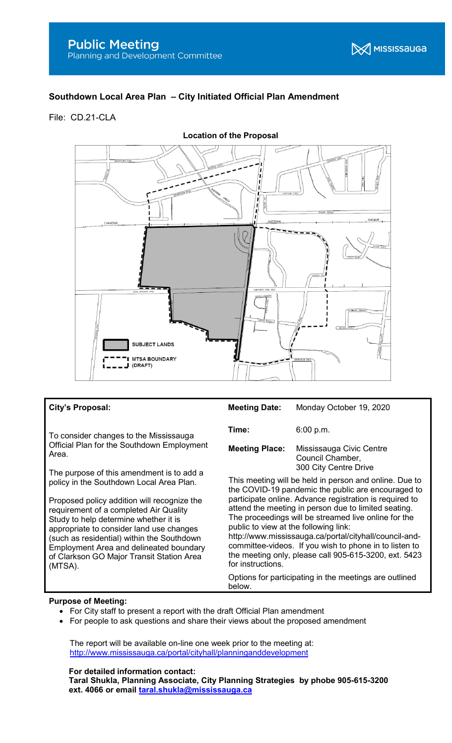# Southdown Local Area Plan – City Initiated Official Plan Amendment

File: CD.21-CLA



### City's Proposal:

To consider changes to the Mississauga Official Plan for the Southdown Employment Area.

The purpose of this amendment is to add a policy in the Southdown Local Area Plan.

Proposed policy addition will recognize the requirement of a completed Air Quality Study to help determine whether it is appropriate to consider land use changes (such as residential) within the Southdown Employment Area and delineated boundary of Clarkson GO Major Transit Station Area (MTSA).

| <b>Meeting Date:</b>                                                                                                                                                                                                                                                                                                                                                                                                                                                                                                               | Monday October 19, 2020                                               |
|------------------------------------------------------------------------------------------------------------------------------------------------------------------------------------------------------------------------------------------------------------------------------------------------------------------------------------------------------------------------------------------------------------------------------------------------------------------------------------------------------------------------------------|-----------------------------------------------------------------------|
| Time:                                                                                                                                                                                                                                                                                                                                                                                                                                                                                                                              | 6:00 p.m.                                                             |
| <b>Meeting Place:</b>                                                                                                                                                                                                                                                                                                                                                                                                                                                                                                              | Mississauga Civic Centre<br>Council Chamber,<br>300 City Centre Drive |
| This meeting will be held in person and online. Due to<br>the COVID-19 pandemic the public are encouraged to<br>participate online. Advance registration is required to<br>attend the meeting in person due to limited seating.<br>The proceedings will be streamed live online for the<br>public to view at the following link:<br>http://www.mississauga.ca/portal/cityhall/council-and-<br>committee-videos. If you wish to phone in to listen to<br>the meeting only, please call 905-615-3200, ext. 5423<br>for instructions. |                                                                       |
| Options for participating in the meetings are outlined                                                                                                                                                                                                                                                                                                                                                                                                                                                                             |                                                                       |

#### Purpose of Meeting:

- For City staff to present a report with the draft Official Plan amendment
- For people to ask questions and share their views about the proposed amendment

 The report will be available on-line one week prior to the meeting at: http://www.mississauga.ca/portal/cityhall/planninganddevelopment

#### For detailed information contact:

Taral Shukla, Planning Associate, City Planning Strategies by phobe 905-615-3200 ext. 4066 or email taral.shukla@mississauga.ca

below.